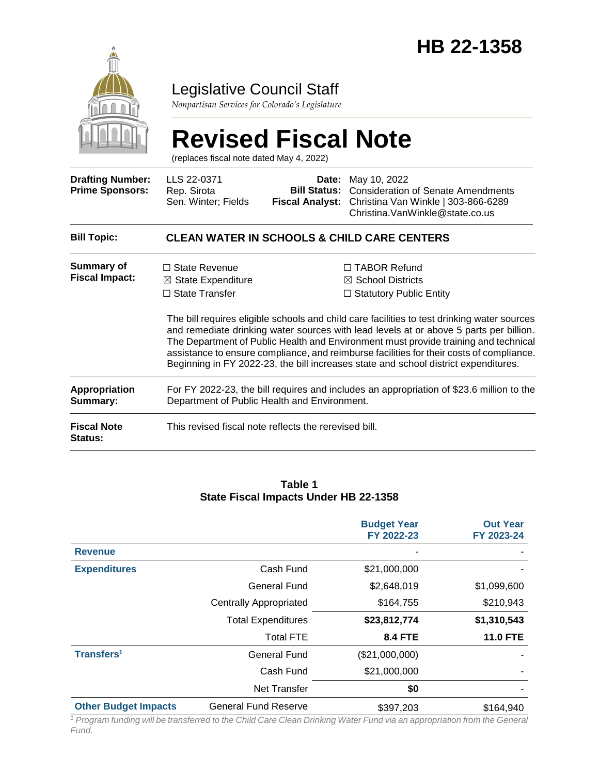

### Legislative Council Staff

*Nonpartisan Services for Colorado's Legislature*

#### **Revised Fiscal Note** (replaces fiscal note dated May 4, 2022) **Drafting Number: Prime Sponsors:** LLS 22-0371 Rep. Sirota Sen. Winter; Fields **Date:** May 10, 2022 **Bill Status:** Consideration of Senate Amendments **Fiscal Analyst:** Christina Van Winkle | 303-866-6289 Christina.VanWinkle@state.co.us **Bill Topic: CLEAN WATER IN SCHOOLS & CHILD CARE CENTERS Summary of Fiscal Impact:** □ State Revenue ☒ State Expenditure □ State Transfer ☐ TABOR Refund ☒ School Districts ☐ Statutory Public Entity The bill requires eligible schools and child care facilities to test drinking water sources and remediate drinking water sources with lead levels at or above 5 parts per billion. The Department of Public Health and Environment must provide training and technical assistance to ensure compliance, and reimburse facilities for their costs of compliance. Beginning in FY 2022-23, the bill increases state and school district expenditures. **Appropriation Summary:** For FY 2022-23, the bill requires and includes an appropriation of \$23.6 million to the Department of Public Health and Environment. **Fiscal Note Status:** This revised fiscal note reflects the rerevised bill.

#### **Table 1 State Fiscal Impacts Under HB 22-1358**

|                             |                               | <b>Budget Year</b><br>FY 2022-23 | <b>Out Year</b><br>FY 2023-24 |
|-----------------------------|-------------------------------|----------------------------------|-------------------------------|
| <b>Revenue</b>              |                               |                                  |                               |
| <b>Expenditures</b>         | Cash Fund                     | \$21,000,000                     |                               |
|                             | <b>General Fund</b>           | \$2,648,019                      | \$1,099,600                   |
|                             | <b>Centrally Appropriated</b> | \$164,755                        | \$210,943                     |
|                             | <b>Total Expenditures</b>     | \$23,812,774                     | \$1,310,543                   |
|                             | <b>Total FTE</b>              | <b>8.4 FTE</b>                   | <b>11.0 FTE</b>               |
| Transfers <sup>1</sup>      | General Fund                  | (\$21,000,000)                   |                               |
|                             | Cash Fund                     | \$21,000,000                     |                               |
|                             | <b>Net Transfer</b>           | \$0                              |                               |
| <b>Other Budget Impacts</b> | <b>General Fund Reserve</b>   | \$397,203                        | \$164,940                     |

*<sup>1</sup> Program funding will be transferred to the Child Care Clean Drinking Water Fund via an appropriation from the General Fund.*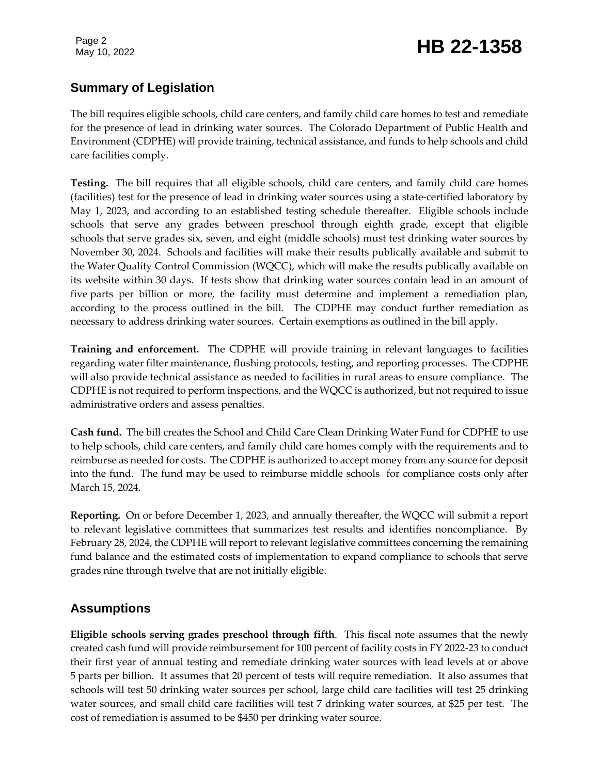Page 2

# Page 2<br>May 10, 2022 **HB 22-1358**

### **Summary of Legislation**

The bill requires eligible schools, child care centers, and family child care homes to test and remediate for the presence of lead in drinking water sources. The Colorado Department of Public Health and Environment (CDPHE) will provide training, technical assistance, and funds to help schools and child care facilities comply.

**Testing.** The bill requires that all eligible schools, child care centers, and family child care homes (facilities) test for the presence of lead in drinking water sources using a state-certified laboratory by May 1, 2023, and according to an established testing schedule thereafter. Eligible schools include schools that serve any grades between preschool through eighth grade, except that eligible schools that serve grades six, seven, and eight (middle schools) must test drinking water sources by November 30, 2024. Schools and facilities will make their results publically available and submit to the Water Quality Control Commission (WQCC), which will make the results publically available on its website within 30 days. If tests show that drinking water sources contain lead in an amount of five parts per billion or more, the facility must determine and implement a remediation plan, according to the process outlined in the bill. The CDPHE may conduct further remediation as necessary to address drinking water sources. Certain exemptions as outlined in the bill apply.

**Training and enforcement.** The CDPHE will provide training in relevant languages to facilities regarding water filter maintenance, flushing protocols, testing, and reporting processes. The CDPHE will also provide technical assistance as needed to facilities in rural areas to ensure compliance. The CDPHE is not required to perform inspections, and the WQCC is authorized, but not required to issue administrative orders and assess penalties.

**Cash fund.** The bill creates the School and Child Care Clean Drinking Water Fund for CDPHE to use to help schools, child care centers, and family child care homes comply with the requirements and to reimburse as needed for costs. The CDPHE is authorized to accept money from any source for deposit into the fund. The fund may be used to reimburse middle schools for compliance costs only after March 15, 2024.

**Reporting.** On or before December 1, 2023, and annually thereafter, the WQCC will submit a report to relevant legislative committees that summarizes test results and identifies noncompliance. By February 28, 2024, the CDPHE will report to relevant legislative committees concerning the remaining fund balance and the estimated costs of implementation to expand compliance to schools that serve grades nine through twelve that are not initially eligible.

### **Assumptions**

**Eligible schools serving grades preschool through fifth**. This fiscal note assumes that the newly created cash fund will provide reimbursement for 100 percent of facility costs in FY 2022-23 to conduct their first year of annual testing and remediate drinking water sources with lead levels at or above 5 parts per billion. It assumes that 20 percent of tests will require remediation. It also assumes that schools will test 50 drinking water sources per school, large child care facilities will test 25 drinking water sources, and small child care facilities will test 7 drinking water sources, at \$25 per test. The cost of remediation is assumed to be \$450 per drinking water source.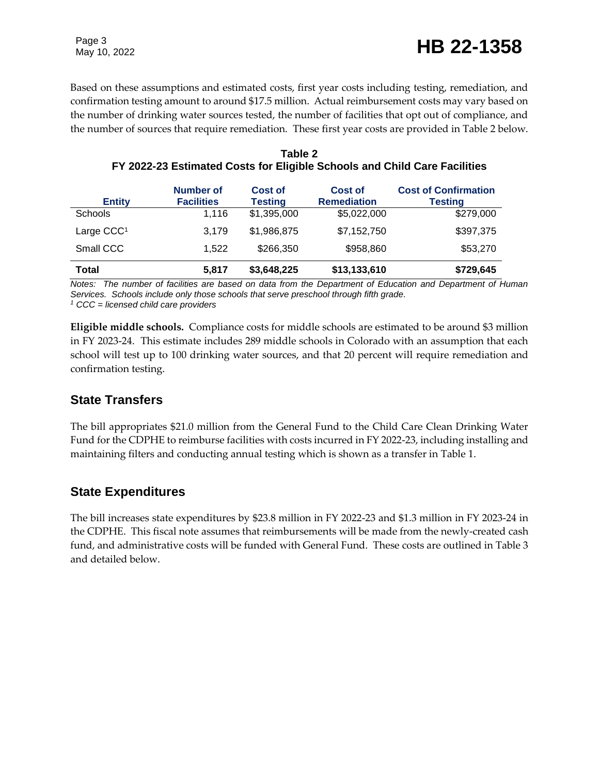Based on these assumptions and estimated costs, first year costs including testing, remediation, and confirmation testing amount to around \$17.5 million. Actual reimbursement costs may vary based on the number of drinking water sources tested, the number of facilities that opt out of compliance, and the number of sources that require remediation. These first year costs are provided in Table 2 below.

| <b>Entity</b> | Number of<br><b>Facilities</b> | Cost of<br><b>Testing</b> | <b>Cost of</b><br><b>Remediation</b> | <b>Cost of Confirmation</b><br><b>Testing</b> |
|---------------|--------------------------------|---------------------------|--------------------------------------|-----------------------------------------------|
| Schools       | 1.116                          | \$1,395,000               | \$5,022,000                          | \$279,000                                     |
| Large $CCC1$  | 3.179                          | \$1,986,875               | \$7,152,750                          | \$397,375                                     |
| Small CCC     | 1.522                          | \$266,350                 | \$958,860                            | \$53,270                                      |
| <b>Total</b>  | 5.817                          | \$3,648,225               | \$13,133,610                         | \$729,645                                     |

| Table 2                                                                   |
|---------------------------------------------------------------------------|
| FY 2022-23 Estimated Costs for Eligible Schools and Child Care Facilities |

*Notes: The number of facilities are based on data from the Department of Education and Department of Human Services. Schools include only those schools that serve preschool through fifth grade. <sup>1</sup> CCC = licensed child care providers*

**Eligible middle schools.** Compliance costs for middle schools are estimated to be around \$3 million in FY 2023-24. This estimate includes 289 middle schools in Colorado with an assumption that each school will test up to 100 drinking water sources, and that 20 percent will require remediation and

### **State Transfers**

confirmation testing.

The bill appropriates \$21.0 million from the General Fund to the Child Care Clean Drinking Water Fund for the CDPHE to reimburse facilities with costs incurred in FY 2022-23, including installing and maintaining filters and conducting annual testing which is shown as a transfer in Table 1.

### **State Expenditures**

The bill increases state expenditures by \$23.8 million in FY 2022-23 and \$1.3 million in FY 2023-24 in the CDPHE. This fiscal note assumes that reimbursements will be made from the newly-created cash fund, and administrative costs will be funded with General Fund. These costs are outlined in Table 3 and detailed below.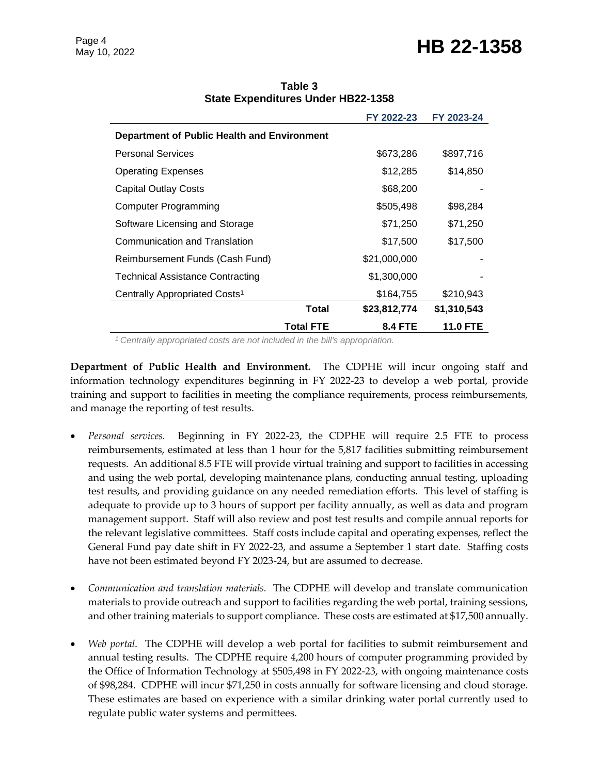## Page 4<br>May 10, 2022 **HB 22-1358**

|                                             |                  | FY 2022-23     | FY 2023-24      |
|---------------------------------------------|------------------|----------------|-----------------|
| Department of Public Health and Environment |                  |                |                 |
| <b>Personal Services</b>                    |                  | \$673,286      | \$897,716       |
| Operating Expenses                          |                  | \$12,285       | \$14,850        |
| <b>Capital Outlay Costs</b>                 |                  | \$68,200       |                 |
| Computer Programming                        |                  | \$505,498      | \$98,284        |
| Software Licensing and Storage              |                  | \$71,250       | \$71,250        |
| Communication and Translation               |                  | \$17,500       | \$17,500        |
| Reimbursement Funds (Cash Fund)             |                  | \$21,000,000   |                 |
| Technical Assistance Contracting            |                  | \$1,300,000    |                 |
| Centrally Appropriated Costs <sup>1</sup>   |                  | \$164,755      | \$210,943       |
|                                             | <b>Total</b>     | \$23,812,774   | \$1,310,543     |
|                                             | <b>Total FTE</b> | <b>8.4 FTE</b> | <b>11.0 FTE</b> |

**Table 3 State Expenditures Under HB22-1358**

*<sup>1</sup>Centrally appropriated costs are not included in the bill's appropriation.*

**Department of Public Health and Environment.** The CDPHE will incur ongoing staff and information technology expenditures beginning in FY 2022-23 to develop a web portal, provide training and support to facilities in meeting the compliance requirements, process reimbursements, and manage the reporting of test results.

- *Personal services.* Beginning in FY 2022-23, the CDPHE will require 2.5 FTE to process reimbursements, estimated at less than 1 hour for the 5,817 facilities submitting reimbursement requests. An additional 8.5 FTE will provide virtual training and support to facilities in accessing and using the web portal, developing maintenance plans, conducting annual testing, uploading test results, and providing guidance on any needed remediation efforts. This level of staffing is adequate to provide up to 3 hours of support per facility annually, as well as data and program management support. Staff will also review and post test results and compile annual reports for the relevant legislative committees. Staff costs include capital and operating expenses, reflect the General Fund pay date shift in FY 2022-23, and assume a September 1 start date. Staffing costs have not been estimated beyond FY 2023-24, but are assumed to decrease.
- *Communication and translation materials.* The CDPHE will develop and translate communication materials to provide outreach and support to facilities regarding the web portal, training sessions, and other training materials to support compliance. These costs are estimated at \$17,500 annually.
- *Web portal*. The CDPHE will develop a web portal for facilities to submit reimbursement and annual testing results. The CDPHE require 4,200 hours of computer programming provided by the Office of Information Technology at \$505,498 in FY 2022-23, with ongoing maintenance costs of \$98,284. CDPHE will incur \$71,250 in costs annually for software licensing and cloud storage. These estimates are based on experience with a similar drinking water portal currently used to regulate public water systems and permittees.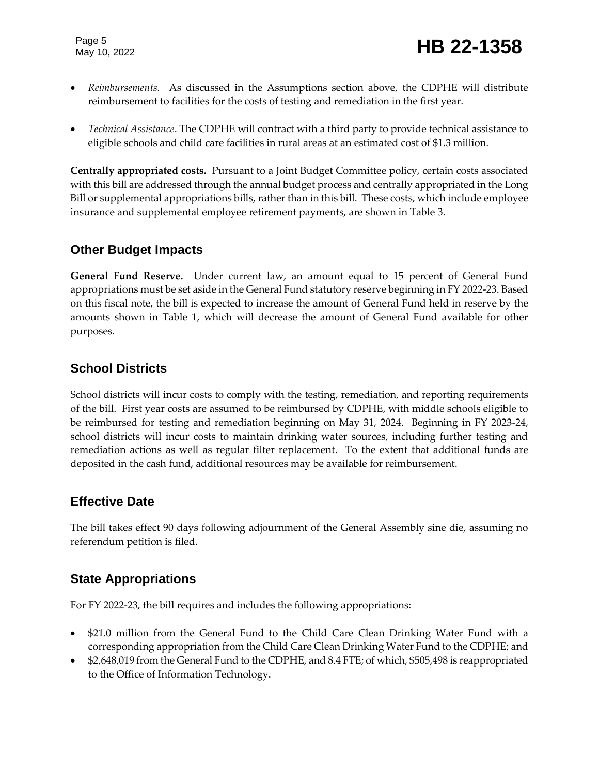Page 5

- *Reimbursements.* As discussed in the Assumptions section above, the CDPHE will distribute reimbursement to facilities for the costs of testing and remediation in the first year.
- *Technical Assistance*. The CDPHE will contract with a third party to provide technical assistance to eligible schools and child care facilities in rural areas at an estimated cost of \$1.3 million.

**Centrally appropriated costs.** Pursuant to a Joint Budget Committee policy, certain costs associated with this bill are addressed through the annual budget process and centrally appropriated in the Long Bill or supplemental appropriations bills, rather than in this bill. These costs, which include employee insurance and supplemental employee retirement payments, are shown in Table 3.

#### **Other Budget Impacts**

**General Fund Reserve.** Under current law, an amount equal to 15 percent of General Fund appropriations must be set aside in the General Fund statutory reserve beginning in FY 2022-23. Based on this fiscal note, the bill is expected to increase the amount of General Fund held in reserve by the amounts shown in Table 1, which will decrease the amount of General Fund available for other purposes.

### **School Districts**

School districts will incur costs to comply with the testing, remediation, and reporting requirements of the bill. First year costs are assumed to be reimbursed by CDPHE, with middle schools eligible to be reimbursed for testing and remediation beginning on May 31, 2024. Beginning in FY 2023-24, school districts will incur costs to maintain drinking water sources, including further testing and remediation actions as well as regular filter replacement. To the extent that additional funds are deposited in the cash fund, additional resources may be available for reimbursement.

### **Effective Date**

The bill takes effect 90 days following adjournment of the General Assembly sine die, assuming no referendum petition is filed.

### **State Appropriations**

For FY 2022-23, the bill requires and includes the following appropriations:

- \$21.0 million from the General Fund to the Child Care Clean Drinking Water Fund with a corresponding appropriation from the Child Care Clean Drinking Water Fund to the CDPHE; and
- \$2,648,019 from the General Fund to the CDPHE, and 8.4 FTE; of which, \$505,498 is reappropriated to the Office of Information Technology.